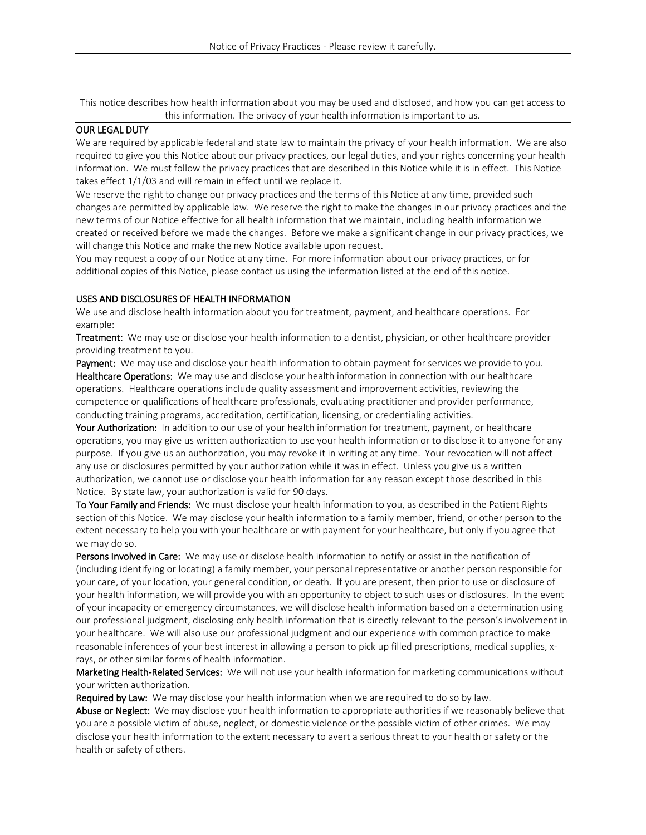This notice describes how health information about you may be used and disclosed, and how you can get access to this information. The privacy of your health information is important to us.

## OUR LEGAL DUTY

We are required by applicable federal and state law to maintain the privacy of your health information. We are also required to give you this Notice about our privacy practices, our legal duties, and your rights concerning your health information. We must follow the privacy practices that are described in this Notice while it is in effect. This Notice takes effect 1/1/03 and will remain in effect until we replace it.

We reserve the right to change our privacy practices and the terms of this Notice at any time, provided such changes are permitted by applicable law. We reserve the right to make the changes in our privacy practices and the new terms of our Notice effective for all health information that we maintain, including health information we created or received before we made the changes. Before we make a significant change in our privacy practices, we will change this Notice and make the new Notice available upon request.

You may request a copy of our Notice at any time. For more information about our privacy practices, or for additional copies of this Notice, please contact us using the information listed at the end of this notice.

## USES AND DISCLOSURES OF HEALTH INFORMATION

We use and disclose health information about you for treatment, payment, and healthcare operations. For example:

Treatment: We may use or disclose your health information to a dentist, physician, or other healthcare provider providing treatment to you.

Payment: We may use and disclose your health information to obtain payment for services we provide to you. Healthcare Operations: We may use and disclose your health information in connection with our healthcare operations. Healthcare operations include quality assessment and improvement activities, reviewing the competence or qualifications of healthcare professionals, evaluating practitioner and provider performance, conducting training programs, accreditation, certification, licensing, or credentialing activities.

Your Authorization: In addition to our use of your health information for treatment, payment, or healthcare operations, you may give us written authorization to use your health information or to disclose it to anyone for any purpose. If you give us an authorization, you may revoke it in writing at any time. Your revocation will not affect any use or disclosures permitted by your authorization while it was in effect. Unless you give us a written authorization, we cannot use or disclose your health information for any reason except those described in this Notice. By state law, your authorization is valid for 90 days.

To Your Family and Friends: We must disclose your health information to you, as described in the Patient Rights section of this Notice. We may disclose your health information to a family member, friend, or other person to the extent necessary to help you with your healthcare or with payment for your healthcare, but only if you agree that we may do so.

Persons Involved in Care: We may use or disclose health information to notify or assist in the notification of (including identifying or locating) a family member, your personal representative or another person responsible for your care, of your location, your general condition, or death. If you are present, then prior to use or disclosure of your health information, we will provide you with an opportunity to object to such uses or disclosures. In the event of your incapacity or emergency circumstances, we will disclose health information based on a determination using our professional judgment, disclosing only health information that is directly relevant to the person's involvement in your healthcare. We will also use our professional judgment and our experience with common practice to make reasonable inferences of your best interest in allowing a person to pick up filled prescriptions, medical supplies, xrays, or other similar forms of health information.

Marketing Health-Related Services: We will not use your health information for marketing communications without your written authorization.

Required by Law: We may disclose your health information when we are required to do so by law.

Abuse or Neglect: We may disclose your health information to appropriate authorities if we reasonably believe that you are a possible victim of abuse, neglect, or domestic violence or the possible victim of other crimes. We may disclose your health information to the extent necessary to avert a serious threat to your health or safety or the health or safety of others.